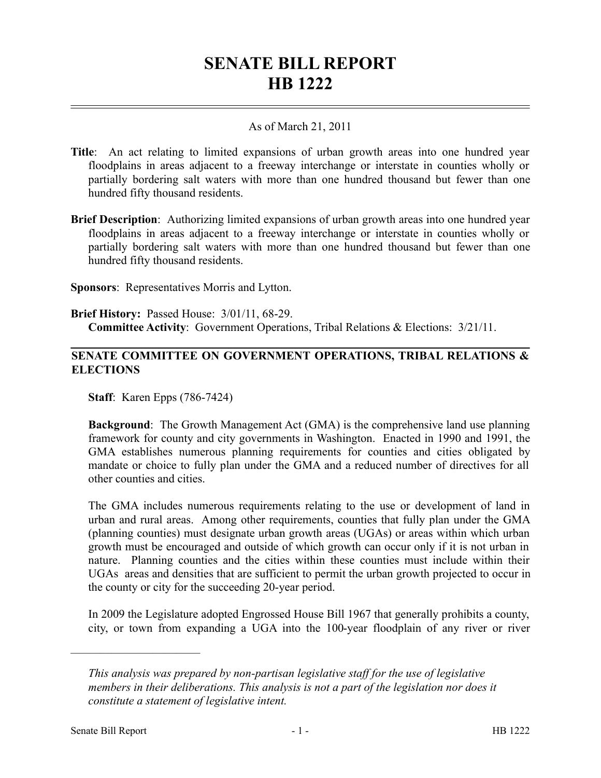## **SENATE BILL REPORT HB 1222**

## As of March 21, 2011

- **Title**: An act relating to limited expansions of urban growth areas into one hundred year floodplains in areas adjacent to a freeway interchange or interstate in counties wholly or partially bordering salt waters with more than one hundred thousand but fewer than one hundred fifty thousand residents.
- **Brief Description**: Authorizing limited expansions of urban growth areas into one hundred year floodplains in areas adjacent to a freeway interchange or interstate in counties wholly or partially bordering salt waters with more than one hundred thousand but fewer than one hundred fifty thousand residents.
- **Sponsors**: Representatives Morris and Lytton.
- **Brief History:** Passed House: 3/01/11, 68-29. **Committee Activity**: Government Operations, Tribal Relations & Elections: 3/21/11.

## **SENATE COMMITTEE ON GOVERNMENT OPERATIONS, TRIBAL RELATIONS & ELECTIONS**

**Staff**: Karen Epps (786-7424)

**Background**: The Growth Management Act (GMA) is the comprehensive land use planning framework for county and city governments in Washington. Enacted in 1990 and 1991, the GMA establishes numerous planning requirements for counties and cities obligated by mandate or choice to fully plan under the GMA and a reduced number of directives for all other counties and cities.

The GMA includes numerous requirements relating to the use or development of land in urban and rural areas. Among other requirements, counties that fully plan under the GMA (planning counties) must designate urban growth areas (UGAs) or areas within which urban growth must be encouraged and outside of which growth can occur only if it is not urban in nature. Planning counties and the cities within these counties must include within their UGAs areas and densities that are sufficient to permit the urban growth projected to occur in the county or city for the succeeding 20-year period.

In 2009 the Legislature adopted Engrossed House Bill 1967 that generally prohibits a county, city, or town from expanding a UGA into the 100-year floodplain of any river or river

––––––––––––––––––––––

*This analysis was prepared by non-partisan legislative staff for the use of legislative members in their deliberations. This analysis is not a part of the legislation nor does it constitute a statement of legislative intent.*